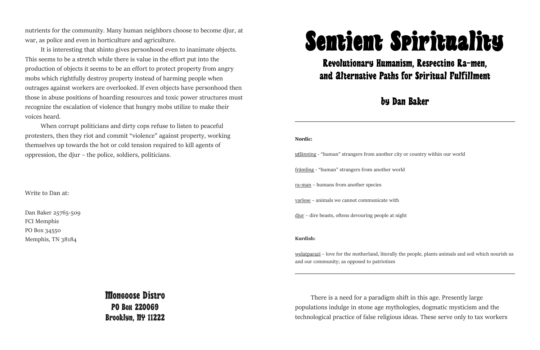

## Revolutionary Humanism, Respecting Ra-men, and Alternative Paths for Spiritual Fulfillment

## by Dan Baker

**Nordic:**

 utlänning - "human" strangers from another city or country within our world främling - "human" strangers from another world ra-man – humans from another species varlese – animals we cannot communicate with djur – dire beasts, oftens devouring people at night

## **Kurdish:**

welatparazi – love for the motherland, literally the people, plants animals and soil which nourish us and our community; as opposed to patriotism

There is a need for a paradigm shift in this age. Presently large populations indulge in stone age mythologies, dogmatic mysticism and the technological practice of false religious ideas. These serve only to tax workers

nutrients for the community. Many human neighbors choose to become djur, at war, as police and even in horticulture and agriculture.

It is interesting that shinto gives personhood even to inanimate objects. This seems to be a stretch while there is value in the effort put into the production of objects it seems to be an effort to protect property from angry mobs which rightfully destroy property instead of harming people when outrages against workers are overlooked. If even objects have personhood then those in abuse positions of hoarding resources and toxic power structures must recognize the escalation of violence that hungry mobs utilize to make their voices heard.

When corrupt politicians and dirty cops refuse to listen to peaceful protesters, then they riot and commit "violence" against property, working themselves up towards the hot or cold tension required to kill agents of oppression, the djur – the police, soldiers, politicians.

Write to Dan at:

Dan Baker 25765-509 FCI Memphis PO Box 34550 Memphis, TN 38184

> Mongoose Distro PO Box 220069 Brooklyn, NY 11222